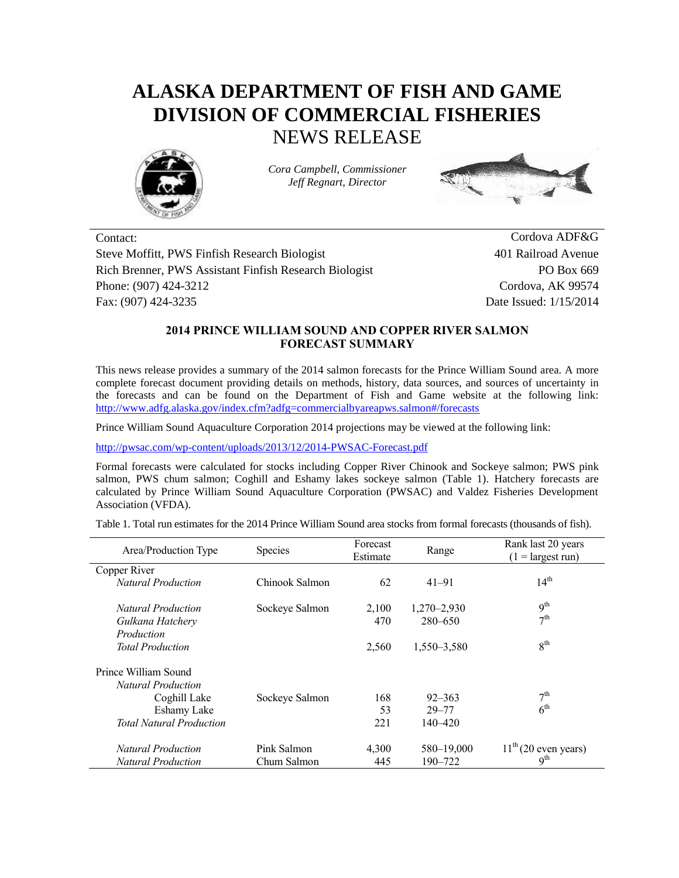## **ALASKA DEPARTMENT OF FISH AND GAME DIVISION OF COMMERCIAL FISHERIES** NEWS RELEASE



*Cora Campbell, Commissioner Jeff Regnart, Director*



Contact: Cordova ADF&G Steve Moffitt, PWS Finfish Research Biologist 401 Railroad Avenue Rich Brenner, PWS Assistant Finfish Research Biologist PO Box 669 Phone: (907) 424-3212 Cordova, AK 99574 Fax: (907) 424-3235 Date Issued: 1/15/2014

## **2014 PRINCE WILLIAM SOUND AND COPPER RIVER SALMON FORECAST SUMMARY**

This news release provides a summary of the 2014 salmon forecasts for the Prince William Sound area. A more complete forecast document providing details on methods, history, data sources, and sources of uncertainty in the forecasts and can be found on the Department of Fish and Game website at the following link: <http://www.adfg.alaska.gov/index.cfm?adfg=commercialbyareapws.salmon#/forecasts>

Prince William Sound Aquaculture Corporation 2014 projections may be viewed at the following link:

<http://pwsac.com/wp-content/uploads/2013/12/2014-PWSAC-Forecast.pdf>

Formal forecasts were calculated for stocks including Copper River Chinook and Sockeye salmon; PWS pink salmon, PWS chum salmon; Coghill and Eshamy lakes sockeye salmon (Table 1). Hatchery forecasts are calculated by Prince William Sound Aquaculture Corporation (PWSAC) and Valdez Fisheries Development Association (VFDA).

Table 1. Total run estimates for the 2014 Prince William Sound area stocks from formal forecasts (thousands of fish).

| Area/Production Type            | Species        | Forecast<br>Estimate | Range           | Rank last 20 years<br>$(1 = \text{largest run})$ |  |
|---------------------------------|----------------|----------------------|-----------------|--------------------------------------------------|--|
| Copper River                    |                |                      |                 |                                                  |  |
| <b>Natural Production</b>       | Chinook Salmon | 62                   | $41 - 91$       | 14 <sup>th</sup>                                 |  |
| <b>Natural Production</b>       | Sockeye Salmon | 2,100                | $1,270 - 2,930$ | 9 <sup>th</sup>                                  |  |
| Gulkana Hatchery                |                | 470                  | 280-650         | 7 <sup>th</sup>                                  |  |
| Production                      |                |                      |                 |                                                  |  |
| <b>Total Production</b>         |                | 2,560                | 1,550-3,580     | 8 <sup>th</sup>                                  |  |
| Prince William Sound            |                |                      |                 |                                                  |  |
| Natural Production              |                |                      |                 |                                                  |  |
| Coghill Lake                    | Sockeye Salmon | 168                  | $92 - 363$      | 7 <sup>th</sup>                                  |  |
| Eshamy Lake                     |                | 53                   | $29 - 77$       | 6 <sup>th</sup>                                  |  |
| <b>Total Natural Production</b> |                | 221                  | $140 - 420$     |                                                  |  |
| <b>Natural Production</b>       | Pink Salmon    | 4.300                | 580-19,000      | $11th$ (20 even years)                           |  |
| <b>Natural Production</b>       | Chum Salmon    | 445                  | 190-722         | q <sup>th</sup>                                  |  |